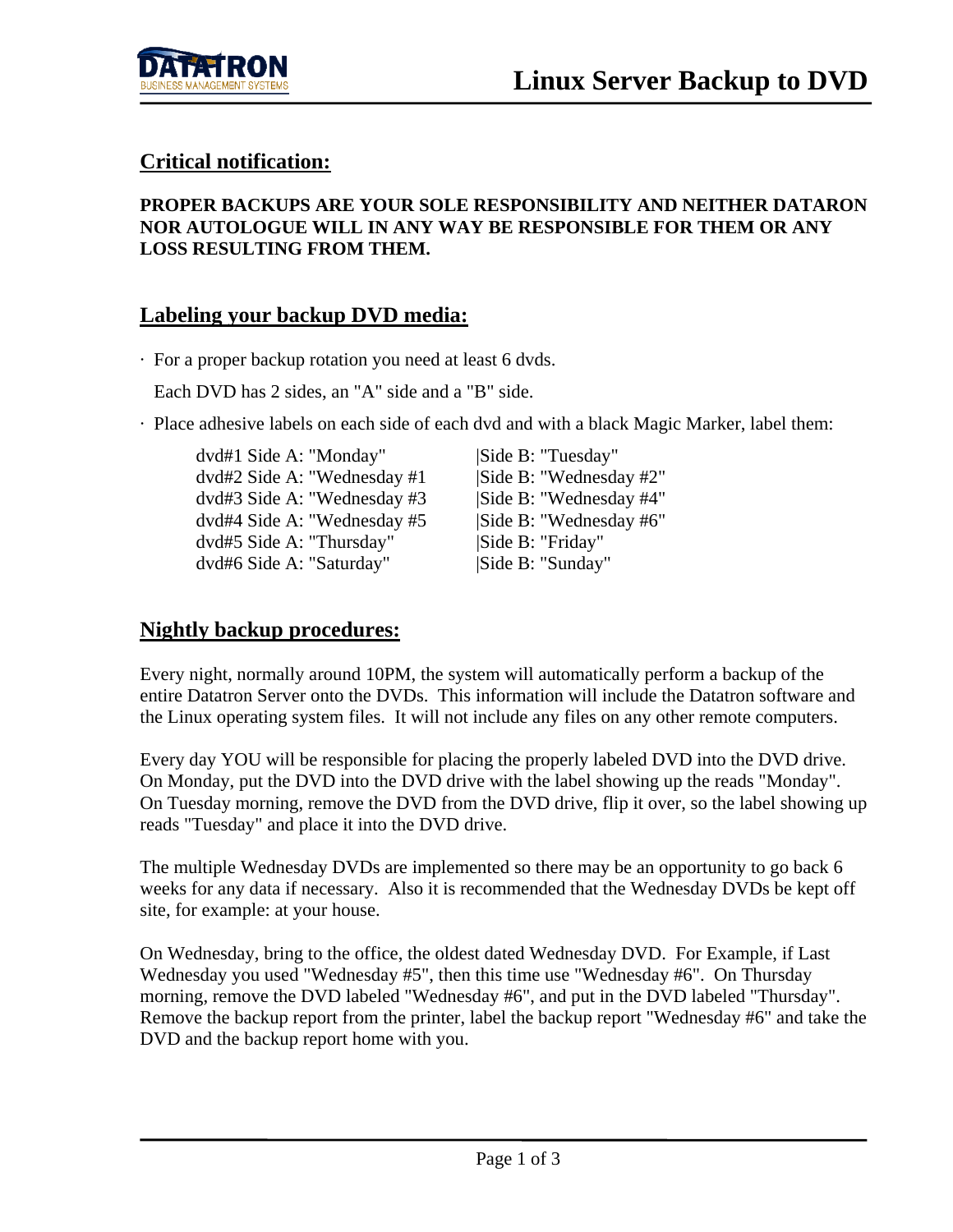

# **Critical notification:**

#### **PROPER BACKUPS ARE YOUR SOLE RESPONSIBILITY AND NEITHER DATARON NOR AUTOLOGUE WILL IN ANY WAY BE RESPONSIBLE FOR THEM OR ANY LOSS RESULTING FROM THEM.**

### **Labeling your backup DVD media:**

· For a proper backup rotation you need at least 6 dvds.

Each DVD has 2 sides, an "A" side and a "B" side.

· Place adhesive labels on each side of each dvd and with a black Magic Marker, label them:

dvd#1 Side A: "Monday" |Side B: "Tuesday"  $dvd#2$  Side A: "Wednesday  $#1$  |Side B: "Wednesday  $#2$ " dvd#3 Side A: "Wednesday #3 |Side B: "Wednesday #4" dvd#4 Side A: "Wednesday #5 |Side B: "Wednesday #6" dvd#5 Side A: "Thursday" |Side B: "Friday" dvd#6 Side A: "Saturday" |Side B: "Sunday"

# **Nightly backup procedures:**

Every night, normally around 10PM, the system will automatically perform a backup of the entire Datatron Server onto the DVDs. This information will include the Datatron software and the Linux operating system files. It will not include any files on any other remote computers.

Every day YOU will be responsible for placing the properly labeled DVD into the DVD drive. On Monday, put the DVD into the DVD drive with the label showing up the reads "Monday". On Tuesday morning, remove the DVD from the DVD drive, flip it over, so the label showing up reads "Tuesday" and place it into the DVD drive.

The multiple Wednesday DVDs are implemented so there may be an opportunity to go back 6 weeks for any data if necessary. Also it is recommended that the Wednesday DVDs be kept off site, for example: at your house.

On Wednesday, bring to the office, the oldest dated Wednesday DVD. For Example, if Last Wednesday you used "Wednesday #5", then this time use "Wednesday #6". On Thursday morning, remove the DVD labeled "Wednesday #6", and put in the DVD labeled "Thursday". Remove the backup report from the printer, label the backup report "Wednesday #6" and take the DVD and the backup report home with you.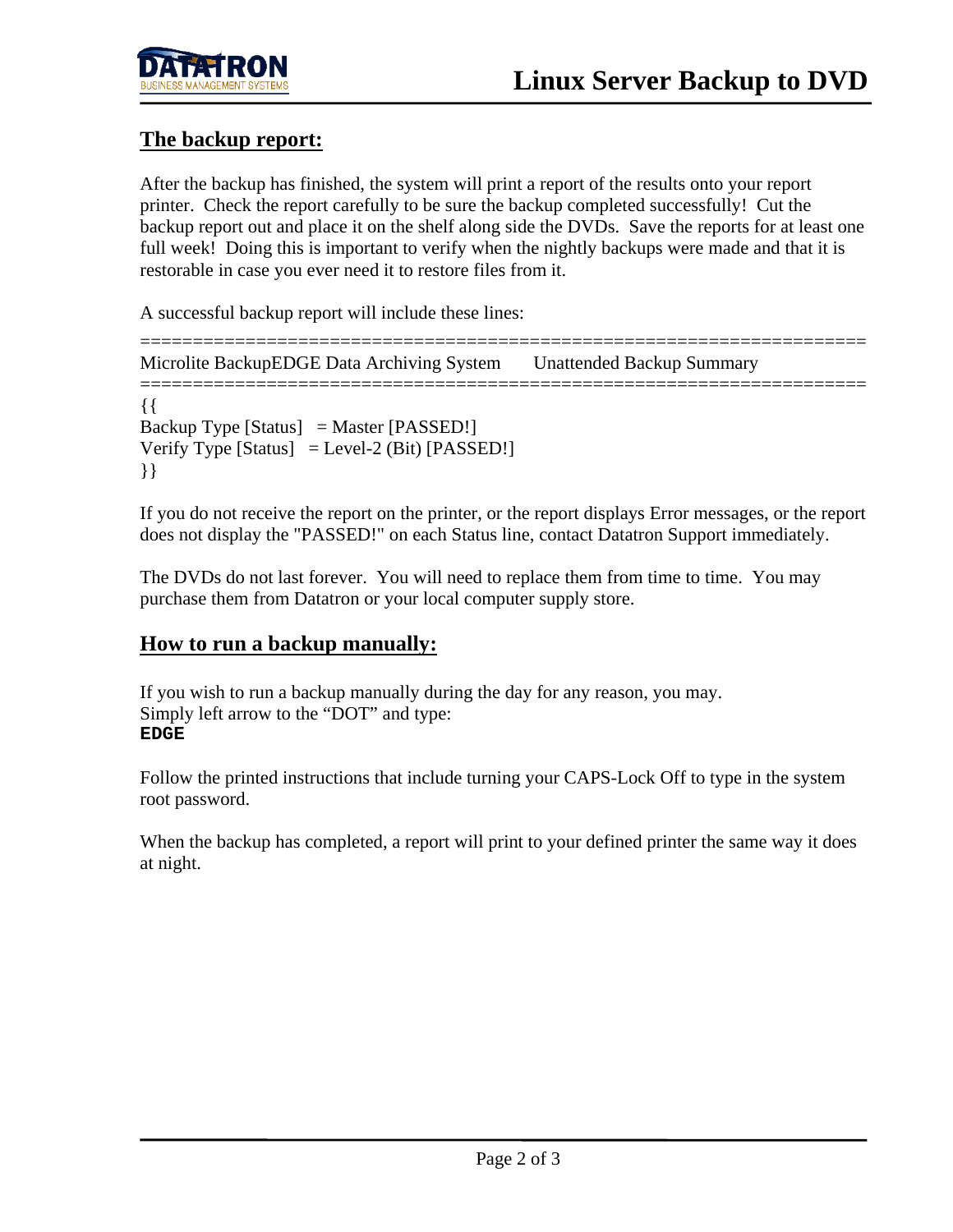

# **The backup report:**

After the backup has finished, the system will print a report of the results onto your report printer. Check the report carefully to be sure the backup completed successfully! Cut the backup report out and place it on the shelf along side the DVDs. Save the reports for at least one full week! Doing this is important to verify when the nightly backups were made and that it is restorable in case you ever need it to restore files from it.

A successful backup report will include these lines:

===================================================================== Microlite BackupEDGE Data Archiving System Unattended Backup Summary ===================================================================== {{ Backup Type [Status] = Master [PASSED!] Verify Type  $[Status] = Level-2 (Bit) [PASSED!]$ }}

If you do not receive the report on the printer, or the report displays Error messages, or the report does not display the "PASSED!" on each Status line, contact Datatron Support immediately.

The DVDs do not last forever. You will need to replace them from time to time. You may purchase them from Datatron or your local computer supply store.

# **How to run a backup manually:**

If you wish to run a backup manually during the day for any reason, you may. Simply left arrow to the "DOT" and type: **EDGE**

Follow the printed instructions that include turning your CAPS-Lock Off to type in the system root password.

When the backup has completed, a report will print to your defined printer the same way it does at night.